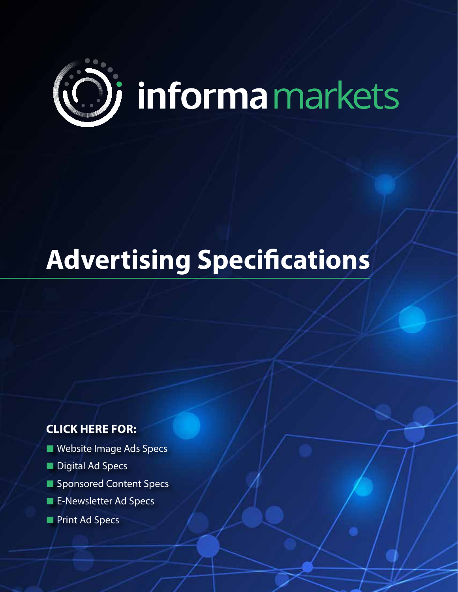

# **Advertising Specifications**

## **CLICK HERE FOR:**

- [Website Image Ads](#page-1-0) Specs
- [Digital Ad Specs](#page-4-0)
- [Sponsor](#page-3-0)ed Content Specs
- [E-Newsletter](#page-3-0) Ad Specs
- [Print Ad Specs](#page-5-0)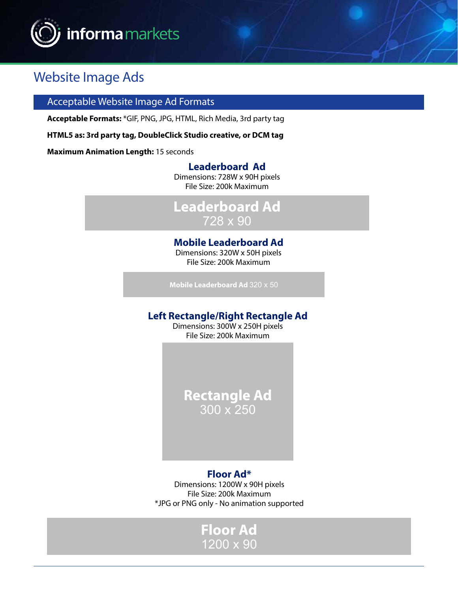<span id="page-1-0"></span>

# Website Image Ads

#### Acceptable Website Image Ad Formats

**Acceptable Formats:** \*GIF, PNG, JPG, HTML, Rich Media, 3rd party tag

**HTML5 as: 3rd party tag, DoubleClick Studio creative, or DCM tag**

**Maximum Animation Length:** 15 seconds

#### **Leaderboard Ad**

Dimensions: 728W x 90H pixels File Size: 200k Maximum

**Leaderboard Ad** 728 x 90

#### **Mobile Leaderboard Ad**

Dimensions: 320W x 50H pixels File Size: 200k Maximum

**Mobile Leaderboard Ad** 320 x 50

#### **Left Rectangle/Right Rectangle Ad**

Dimensions: 300W x 250H pixels File Size: 200k Maximum

> **Rectangle Ad** 300 x 250

#### **Floor Ad\***

Dimensions: 1200W x 90H pixels File Size: 200k Maximum \*JPG or PNG only - No animation supported

### **Floor Ad** 1200 x 90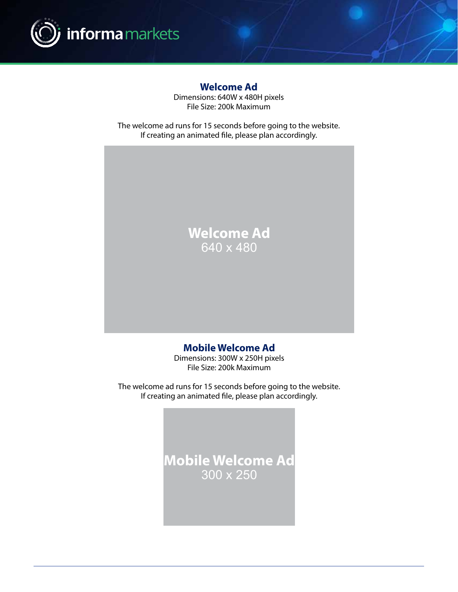

#### **Welcome Ad**

Dimensions: 640W x 480H pixels File Size: 200k Maximum

The welcome ad runs for 15 seconds before going to the website. If creating an animated file, please plan accordingly.

# **Welcome Ad** 640 x 480

#### **Mobile Welcome Ad**

Dimensions: 300W x 250H pixels File Size: 200k Maximum

The welcome ad runs for 15 seconds before going to the website. If creating an animated file, please plan accordingly.

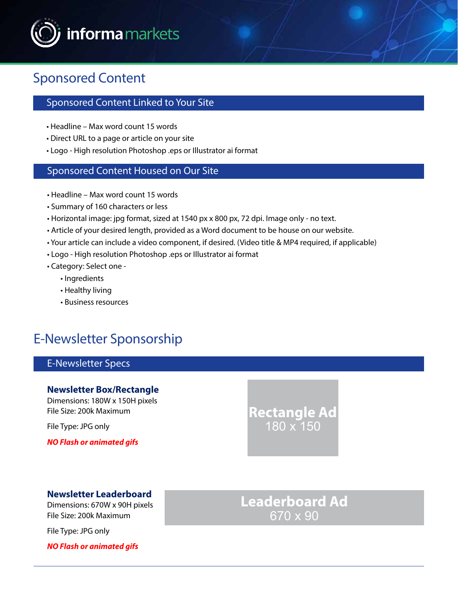<span id="page-3-0"></span>

# Sponsored Content

#### Sponsored Content Linked to Your Site

- Headline Max word count 15 words
- Direct URL to a page or article on your site
- Logo High resolution Photoshop .eps or Illustrator ai format

#### Sponsored Content Housed on Our Site

- Headline Max word count 15 words
- Summary of 160 characters or less
- Horizontal image: jpg format, sized at 1540 px x 800 px, 72 dpi. Image only no text.
- Article of your desired length, provided as a Word document to be house on our website.
- Your article can include a video component, if desired. (Video title & MP4 required, if applicable)
- Logo High resolution Photoshop .eps or Illustrator ai format
- Category: Select one
	- Ingredients
	- Healthy living
	- Business resources

# E-Newsletter Sponsorship

#### E-Newsletter Specs

#### **Newsletter Box/Rectangle**

Dimensions: 180W x 150H pixels File Size: 200k Maximum

File Type: JPG only

*NO Flash or animated gifs*

**Rectangle Ad** 180 x 150

#### **Newsletter Leaderboard**

Dimensions: 670W x 90H pixels File Size: 200k Maximum

File Type: JPG only

*NO Flash or animated gifs*

**Leaderboard Ad** 670 x 90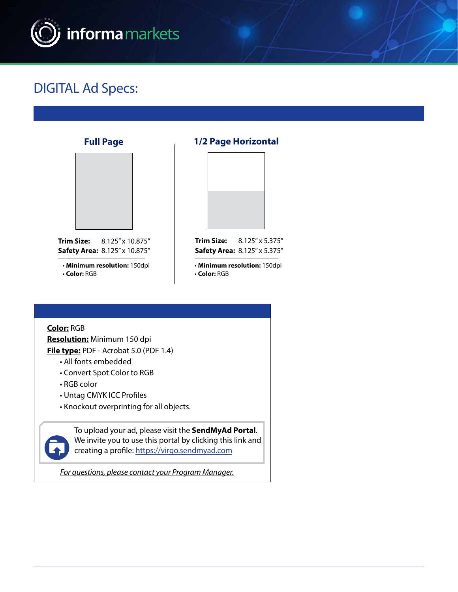<span id="page-4-0"></span>

# DIGITAL Ad Specs:

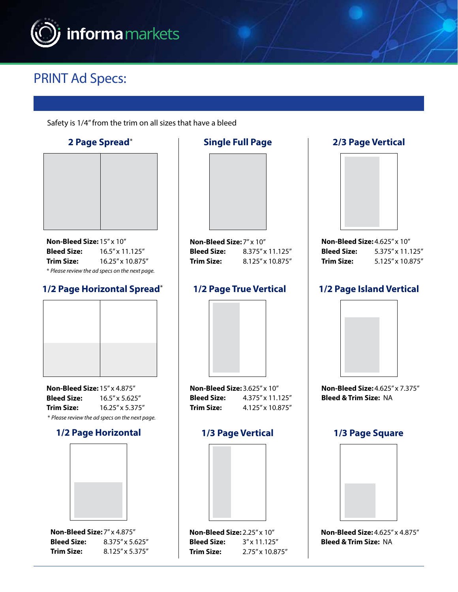<span id="page-5-0"></span>

# PRINT Ad Specs:

Safety is 1/4" from the trim on all sizes that have a bleed

**2 Page Spread**\*



**Non-Bleed Size:** 15" x 10" **Bleed Size:** 16.5" x 11.125" **Trim Size:** 16.25" x 10.875" \* *Please review the ad specs on the next page.*

#### **1/2 Page Horizontal Spread**\*



**Non-Bleed Size:** 15" x 4.875" **Bleed Size:** 16.5" x 5.625" **Trim Size:** 16.25" x 5.375" \* *Please review the ad specs on the next page.*

#### **1/2 Page Horizontal**



**Non-Bleed Size:** 7" x 4.875" **Bleed Size:** 8.375" x 5.625" **Trim Size:** 8.125" x 5.375"

# **Single Full Page Non-Bleed Size:** 7" x 10"

**Bleed Size:** 8.375" x 11.125" **Trim Size:** 8.125" x 10.875"

#### **1/2 Page True Vertical**



**Non-Bleed Size:** 3.625" x 10" **Bleed Size:** 4.375" x 11.125" **Trim Size:**  $4.125'' \times 10.875''$ 

#### **1/3 Page Vertical**



#### **Non-Bleed Size:** 2.25" x 10" **Bleed Size:** 3" x 11.125" **Trim Size:** 2.75" x 10.875"



**Bleed Size:** 5.375" x 11.125" **Trim Size:** 5.125" x 10.875"

#### **1/2 Page Island Vertical**



**Non-Bleed Size:** 4.625" x 7.375" **Bleed & Trim Size:** NA

#### **1/3 Page Square**



**Non-Bleed Size:** 4.625" x 4.875" **Bleed & Trim Size:** NA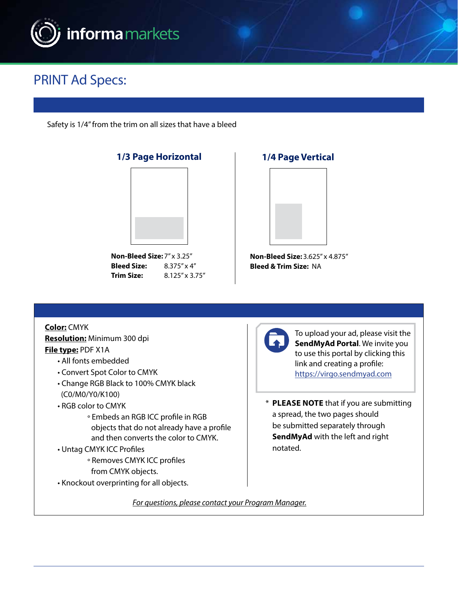

# PRINT Ad Specs:

Safety is 1/4" from the trim on all sizes that have a bleed



**Bleed Size:** 8.375" x 4" **Trim Size:** 8.125" x 3.75"

#### **1/4 Page Vertical**



**Non-Bleed Size:** 3.625" x 4.875" **Bleed & Trim Size:** NA

**Color:** CMYK **Resolution:** Minimum 300 dpi **File type:** PDF X1A

- All fonts embedded
- Convert Spot Color to CMYK
- Change RGB Black to 100% CMYK black (C0/M0/Y0/K100)
- RGB color to CMYK
	- ° Embeds an RGB ICC profile in RGB objects that do not already have a profile and then converts the color to CMYK.
- Untag CMYK ICC Profiles
	- ° Removes CMYK ICC profiles from CMYK objects.
- Knockout overprinting for all objects.



To upload your ad, please visit the **SendMyAd Portal**. We invite you to use this portal by clicking this link and creating a profile: [https://virgo.sendmyad.com](https://virgo.sendmyad.com/)

\* **PLEASE NOTE** that if you are submitting a spread, the two pages should be submitted separately through **SendMyAd** with the left and right notated.

*[For questions, please contact your Program Manager.](#page-7-0)*